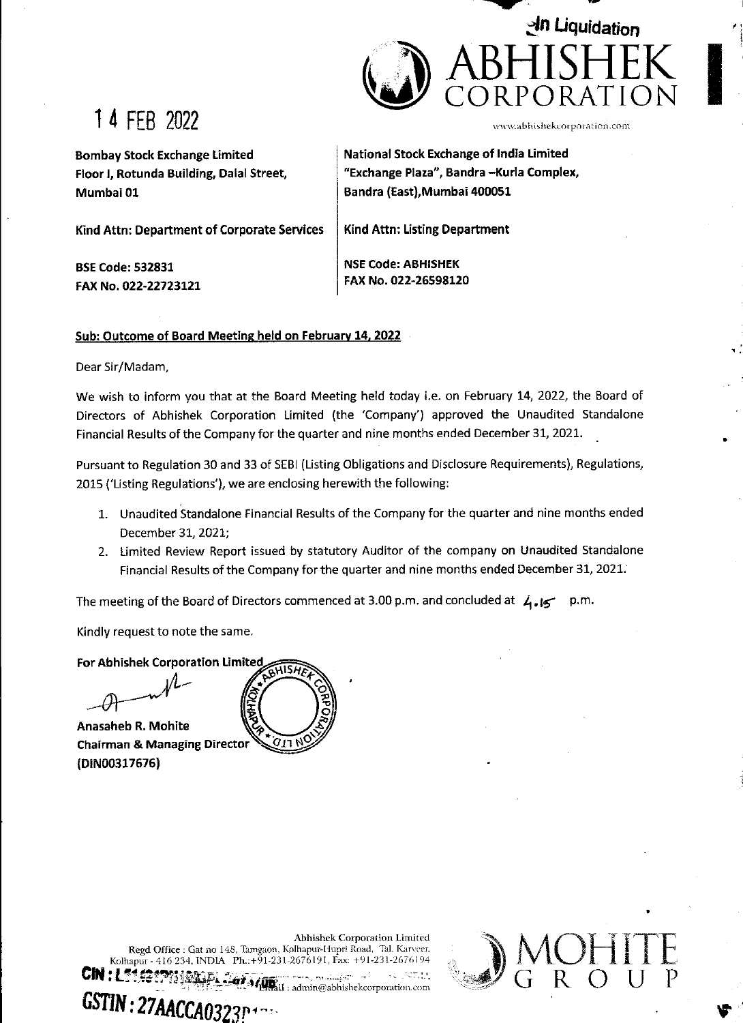

# 1 4 FEB 2022

www.abhishekcorporation.com

1 4 i é

MOHITE

v

Bombay Stock Exchange Limited | National Stock Exchange of India Limited Floor |, Rotunda Building, Dalal Street, "Exchange Plaza", Bandra —Kurla Complex, Mumbai 01 Bandra (East),Mumbai 400051

Kind Attn: Department of Corporate Services | Kind Attn: Listing Department

BSE Code: 532831 NSE Code: ABHISHEK

FAX No. 022-22723121 | FAX No. 022-26598120

## Sub: Outcome of Board Meeting held on February 14, 2022

Dear Sir/Madam,

We wish to inform you that at the Board Meeting held today i.e. on February 14, 2022, the Board of Directors of Abhishek Corporation Limited (the 'Company') approved the Unaudited Standalone Financial Results of the Company for the quarter and nine months ended December 31, 2021.

Pursuant to Regulation 30 and 33 of SEBI (Listing Obligations and Disclosure Requirements), Regulations, 2015 ('Listing Regulations'), we are enclosing herewith the following:

- 1. Unaudited Standalone Financial Results of the Company for the quarter and nine months ended December 31, 2021;
- 2. Limited Review Report issued by statutory Auditor of the company on Unaudited Standalone Financial Results of the Company for the quarter and nine months ended December 31, 2021.

The meeting of the Board of Directors commenced at 3.00 p.m. and concluded at  $\mathcal{A} \bullet \mathcal{A} \bullet \mathcal{A}$ 

Kindly request to note the same.

For Abhishek Corporation Limited

Anasaheb R. Mohite Chairman & Managing Director {(DiiNO0317676)

на производство на селото на селото на селото на селото на селото на селото на селото на селото на селото на с



Abhishek Corporation Limited. Regd Office : Gat no 148, Tamgaon, Kolhapur-Hupri Road, Tal, Karveer, Kolhapur - 416 234, INDIA Ph.:+91-231-2676191, Fax: +91-231-2676194 CIN: L51. CON: L51. CONSIGRAPHICAL CONSIGNIES IN PERSONAL CONSIGNMENT ADAPTA ACCADA PERSONAL COM GENERAL SELS INC.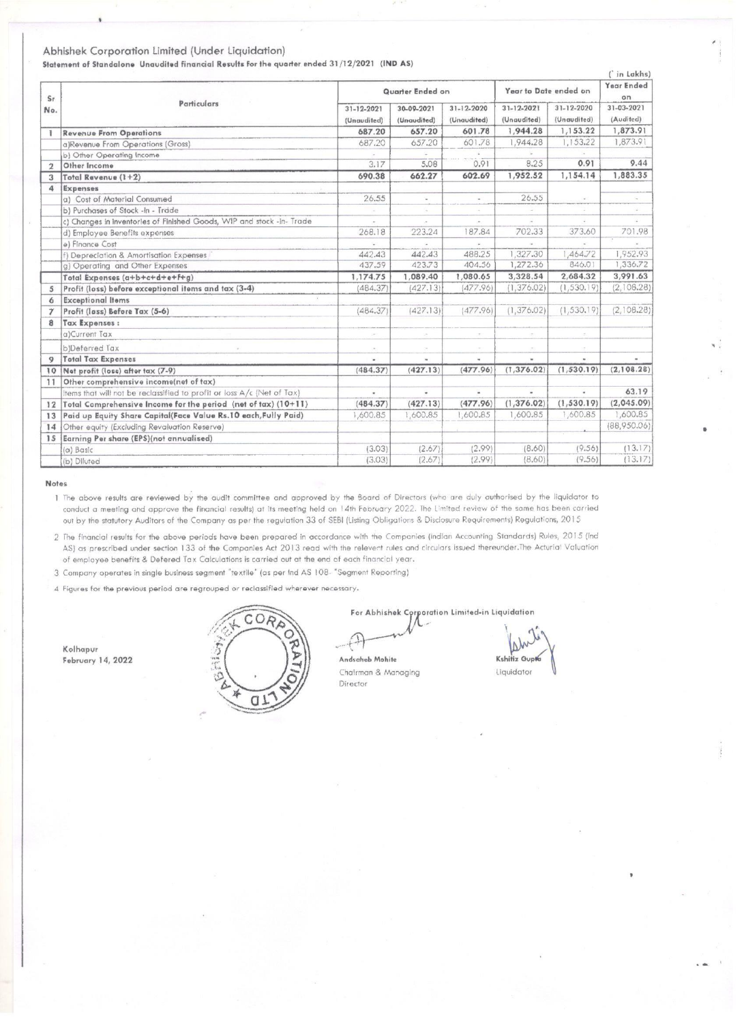### Abhishek Corporation Limited (Under Liquidation)

| Abhishek Corporation Limited (Under Liquidation)<br>Statement of Standalone Unaudited financial Results for the quarter ended 31/12/2021 (IND AS)<br>( in Lakhs)<br>Year Ended<br>Year to Date ended on<br>Quarter Ended on<br>on<br>Sr<br>Particulars<br>31-12-2021<br>31-03-2021<br>31-12-2020<br>30-09-2021<br>$31 - 12 - 2020$<br>31-12-2021<br>No.<br>(Unaudited)<br>(Audited)<br>(Unaudited)<br>(Unaudited)<br>(Unaudited)<br>(Unaudited)<br>1,944.28<br>1,153.22<br>1,873.91<br>657.20<br>601.78<br>687.20<br><b>Revenue From Operations</b><br>Ŧ<br>1,873.91<br>1,944.28<br>1,153.22<br>657.20<br>601.78<br>687.20<br>a)Revenue From Operations (Gross)<br>b) Other Operating Income<br>$\sim$<br>9.44<br>5.08<br>0.91<br>8.25<br>0.91<br>3.17<br>Other Income<br>$\overline{2}$<br>1,952.52<br>1,154.14<br>1,883.35<br>690.38<br>662.27<br>602.69<br>Total Revenue (1+2)<br>3<br>Expenses<br>4<br>26.55<br>a) Cost of Material Consumed<br>26.55<br>$\sim$<br>$\scriptstyle\rm m$<br>$\omega$<br>$\sim$<br>b) Purchases of Stock -in - Trade<br>$\sim$<br>$\sim$<br>$\frac{1}{2}$<br>$\sim$<br>G.<br>×.<br>c) Changes in inventories of Finished Goods, WIP and stock -in- Trade<br>$\omega$ .<br>$\sim$<br>$\sim$<br>$\omega$<br>o.<br>$\sim$<br>702.33<br>373.60<br>701.98<br>187.84<br>d) Employee Benefits expenses<br>268.18<br>223,24<br>$\mathcal{L}(\mathcal{C})$<br>e) Finance Cost<br>W.<br>s.<br>ign.<br>1,952.93<br>442.43<br>488.25<br>1,327.30<br>1,464.72<br>442.43<br>f) Depreciation & Amortisation Expenses<br>846.01<br>1,336.72<br>423.73<br>404.56<br>1,272.36<br>g) Operating and Other Expenses<br>437.59<br>2,684.32<br>3,991.63<br>1,089.40<br>1,080.65<br>3,328.54<br>Total Expenses (a+b+c+d+e+F+g)<br>1,174.75<br>(427.13)<br>(477.96)<br>(1, 376.02)<br>(1,530.19)<br>(2,108.28)<br>Profit (loss) before exceptional items and tax (3-4)<br>(484.37)<br>$\mathfrak{s}$<br><b>Exceptional Items</b><br>6<br>(2,108.28)<br>(477.96)<br>(1, 376.02)<br>(1, 530, 19)<br>(484.37)<br>(427.13)<br>Profit (lass) Before Tax (5-6)<br>$\tau$<br>Tax Expenses:<br>8<br>a)Current Tax<br>æ.<br>$\sim$<br>$\sim$<br>$\sim$<br>$\sim$<br>b)Deferred Tax<br>$\sim$<br>$\sim$<br>$\sim$<br>$\sim$<br>×<br><b>Total Tax Expenses</b><br>9<br>w.<br>$\blacksquare$<br>$\blacksquare$<br>$\blacksquare$<br>٠<br>$\blacksquare$<br>(1,530.19)<br>(2,108.28)<br>10 Net profit (loss) after tax (7-9)<br>(427.13)<br>(477.96)<br>(1, 376.02)<br>(484.37)<br>Other comprehensive income(net of tax)<br>11<br>63.19<br>Items that will not be reclassified to profit or loss A/c (Net of Tax)<br>$\epsilon$<br>$\blacksquare$<br>$\blacksquare$<br>٠<br>$\overline{\phantom{a}}$<br>(2,045.09)<br>(1, 376.02)<br>(1, 530.19)<br>12 Total Comprehensive Income for the period (net of tax) (10+11)<br>(484.37)<br>(427.13)<br>(477.96)<br>1,600.85<br>1,600.85<br>1,600.85<br>Paid up Equity Share Capital(Face Value Rs.10 each, Fully Paid)<br>1,600.85<br>1,600.85<br>1,600.85<br>13<br>(88,950.06)<br>Other equity (Excluding Revaluation Reserve)<br>14<br>Earning Per share (EPS)(not annualised)<br>15<br>(2.99)<br>(9.56)<br>(13.17)<br>(3.03)<br>(2.67)<br>(8.60)<br>(a) Basic<br>(2.67)<br>(2.99)<br>(B.60)<br>(9.56)<br>(13.17)<br>(3.03)<br>(b) Diluted |  |  |  |  |
|------------------------------------------------------------------------------------------------------------------------------------------------------------------------------------------------------------------------------------------------------------------------------------------------------------------------------------------------------------------------------------------------------------------------------------------------------------------------------------------------------------------------------------------------------------------------------------------------------------------------------------------------------------------------------------------------------------------------------------------------------------------------------------------------------------------------------------------------------------------------------------------------------------------------------------------------------------------------------------------------------------------------------------------------------------------------------------------------------------------------------------------------------------------------------------------------------------------------------------------------------------------------------------------------------------------------------------------------------------------------------------------------------------------------------------------------------------------------------------------------------------------------------------------------------------------------------------------------------------------------------------------------------------------------------------------------------------------------------------------------------------------------------------------------------------------------------------------------------------------------------------------------------------------------------------------------------------------------------------------------------------------------------------------------------------------------------------------------------------------------------------------------------------------------------------------------------------------------------------------------------------------------------------------------------------------------------------------------------------------------------------------------------------------------------------------------------------------------------------------------------------------------------------------------------------------------------------------------------------------------------------------------------------------------------------------------------------------------------------------------------------------------------------------------------------------------------------------------------------------------------------------------------------------------------------------------------------------------------------------------------------------------------------------------------------------------------------------------------------------------------------------------------------------------------------------------------------------------------------------------------------------------------------|--|--|--|--|
|                                                                                                                                                                                                                                                                                                                                                                                                                                                                                                                                                                                                                                                                                                                                                                                                                                                                                                                                                                                                                                                                                                                                                                                                                                                                                                                                                                                                                                                                                                                                                                                                                                                                                                                                                                                                                                                                                                                                                                                                                                                                                                                                                                                                                                                                                                                                                                                                                                                                                                                                                                                                                                                                                                                                                                                                                                                                                                                                                                                                                                                                                                                                                                                                                                                                                    |  |  |  |  |
|                                                                                                                                                                                                                                                                                                                                                                                                                                                                                                                                                                                                                                                                                                                                                                                                                                                                                                                                                                                                                                                                                                                                                                                                                                                                                                                                                                                                                                                                                                                                                                                                                                                                                                                                                                                                                                                                                                                                                                                                                                                                                                                                                                                                                                                                                                                                                                                                                                                                                                                                                                                                                                                                                                                                                                                                                                                                                                                                                                                                                                                                                                                                                                                                                                                                                    |  |  |  |  |
|                                                                                                                                                                                                                                                                                                                                                                                                                                                                                                                                                                                                                                                                                                                                                                                                                                                                                                                                                                                                                                                                                                                                                                                                                                                                                                                                                                                                                                                                                                                                                                                                                                                                                                                                                                                                                                                                                                                                                                                                                                                                                                                                                                                                                                                                                                                                                                                                                                                                                                                                                                                                                                                                                                                                                                                                                                                                                                                                                                                                                                                                                                                                                                                                                                                                                    |  |  |  |  |
|                                                                                                                                                                                                                                                                                                                                                                                                                                                                                                                                                                                                                                                                                                                                                                                                                                                                                                                                                                                                                                                                                                                                                                                                                                                                                                                                                                                                                                                                                                                                                                                                                                                                                                                                                                                                                                                                                                                                                                                                                                                                                                                                                                                                                                                                                                                                                                                                                                                                                                                                                                                                                                                                                                                                                                                                                                                                                                                                                                                                                                                                                                                                                                                                                                                                                    |  |  |  |  |
|                                                                                                                                                                                                                                                                                                                                                                                                                                                                                                                                                                                                                                                                                                                                                                                                                                                                                                                                                                                                                                                                                                                                                                                                                                                                                                                                                                                                                                                                                                                                                                                                                                                                                                                                                                                                                                                                                                                                                                                                                                                                                                                                                                                                                                                                                                                                                                                                                                                                                                                                                                                                                                                                                                                                                                                                                                                                                                                                                                                                                                                                                                                                                                                                                                                                                    |  |  |  |  |
|                                                                                                                                                                                                                                                                                                                                                                                                                                                                                                                                                                                                                                                                                                                                                                                                                                                                                                                                                                                                                                                                                                                                                                                                                                                                                                                                                                                                                                                                                                                                                                                                                                                                                                                                                                                                                                                                                                                                                                                                                                                                                                                                                                                                                                                                                                                                                                                                                                                                                                                                                                                                                                                                                                                                                                                                                                                                                                                                                                                                                                                                                                                                                                                                                                                                                    |  |  |  |  |
|                                                                                                                                                                                                                                                                                                                                                                                                                                                                                                                                                                                                                                                                                                                                                                                                                                                                                                                                                                                                                                                                                                                                                                                                                                                                                                                                                                                                                                                                                                                                                                                                                                                                                                                                                                                                                                                                                                                                                                                                                                                                                                                                                                                                                                                                                                                                                                                                                                                                                                                                                                                                                                                                                                                                                                                                                                                                                                                                                                                                                                                                                                                                                                                                                                                                                    |  |  |  |  |
|                                                                                                                                                                                                                                                                                                                                                                                                                                                                                                                                                                                                                                                                                                                                                                                                                                                                                                                                                                                                                                                                                                                                                                                                                                                                                                                                                                                                                                                                                                                                                                                                                                                                                                                                                                                                                                                                                                                                                                                                                                                                                                                                                                                                                                                                                                                                                                                                                                                                                                                                                                                                                                                                                                                                                                                                                                                                                                                                                                                                                                                                                                                                                                                                                                                                                    |  |  |  |  |
|                                                                                                                                                                                                                                                                                                                                                                                                                                                                                                                                                                                                                                                                                                                                                                                                                                                                                                                                                                                                                                                                                                                                                                                                                                                                                                                                                                                                                                                                                                                                                                                                                                                                                                                                                                                                                                                                                                                                                                                                                                                                                                                                                                                                                                                                                                                                                                                                                                                                                                                                                                                                                                                                                                                                                                                                                                                                                                                                                                                                                                                                                                                                                                                                                                                                                    |  |  |  |  |
|                                                                                                                                                                                                                                                                                                                                                                                                                                                                                                                                                                                                                                                                                                                                                                                                                                                                                                                                                                                                                                                                                                                                                                                                                                                                                                                                                                                                                                                                                                                                                                                                                                                                                                                                                                                                                                                                                                                                                                                                                                                                                                                                                                                                                                                                                                                                                                                                                                                                                                                                                                                                                                                                                                                                                                                                                                                                                                                                                                                                                                                                                                                                                                                                                                                                                    |  |  |  |  |
|                                                                                                                                                                                                                                                                                                                                                                                                                                                                                                                                                                                                                                                                                                                                                                                                                                                                                                                                                                                                                                                                                                                                                                                                                                                                                                                                                                                                                                                                                                                                                                                                                                                                                                                                                                                                                                                                                                                                                                                                                                                                                                                                                                                                                                                                                                                                                                                                                                                                                                                                                                                                                                                                                                                                                                                                                                                                                                                                                                                                                                                                                                                                                                                                                                                                                    |  |  |  |  |
|                                                                                                                                                                                                                                                                                                                                                                                                                                                                                                                                                                                                                                                                                                                                                                                                                                                                                                                                                                                                                                                                                                                                                                                                                                                                                                                                                                                                                                                                                                                                                                                                                                                                                                                                                                                                                                                                                                                                                                                                                                                                                                                                                                                                                                                                                                                                                                                                                                                                                                                                                                                                                                                                                                                                                                                                                                                                                                                                                                                                                                                                                                                                                                                                                                                                                    |  |  |  |  |
|                                                                                                                                                                                                                                                                                                                                                                                                                                                                                                                                                                                                                                                                                                                                                                                                                                                                                                                                                                                                                                                                                                                                                                                                                                                                                                                                                                                                                                                                                                                                                                                                                                                                                                                                                                                                                                                                                                                                                                                                                                                                                                                                                                                                                                                                                                                                                                                                                                                                                                                                                                                                                                                                                                                                                                                                                                                                                                                                                                                                                                                                                                                                                                                                                                                                                    |  |  |  |  |
|                                                                                                                                                                                                                                                                                                                                                                                                                                                                                                                                                                                                                                                                                                                                                                                                                                                                                                                                                                                                                                                                                                                                                                                                                                                                                                                                                                                                                                                                                                                                                                                                                                                                                                                                                                                                                                                                                                                                                                                                                                                                                                                                                                                                                                                                                                                                                                                                                                                                                                                                                                                                                                                                                                                                                                                                                                                                                                                                                                                                                                                                                                                                                                                                                                                                                    |  |  |  |  |
|                                                                                                                                                                                                                                                                                                                                                                                                                                                                                                                                                                                                                                                                                                                                                                                                                                                                                                                                                                                                                                                                                                                                                                                                                                                                                                                                                                                                                                                                                                                                                                                                                                                                                                                                                                                                                                                                                                                                                                                                                                                                                                                                                                                                                                                                                                                                                                                                                                                                                                                                                                                                                                                                                                                                                                                                                                                                                                                                                                                                                                                                                                                                                                                                                                                                                    |  |  |  |  |
|                                                                                                                                                                                                                                                                                                                                                                                                                                                                                                                                                                                                                                                                                                                                                                                                                                                                                                                                                                                                                                                                                                                                                                                                                                                                                                                                                                                                                                                                                                                                                                                                                                                                                                                                                                                                                                                                                                                                                                                                                                                                                                                                                                                                                                                                                                                                                                                                                                                                                                                                                                                                                                                                                                                                                                                                                                                                                                                                                                                                                                                                                                                                                                                                                                                                                    |  |  |  |  |
|                                                                                                                                                                                                                                                                                                                                                                                                                                                                                                                                                                                                                                                                                                                                                                                                                                                                                                                                                                                                                                                                                                                                                                                                                                                                                                                                                                                                                                                                                                                                                                                                                                                                                                                                                                                                                                                                                                                                                                                                                                                                                                                                                                                                                                                                                                                                                                                                                                                                                                                                                                                                                                                                                                                                                                                                                                                                                                                                                                                                                                                                                                                                                                                                                                                                                    |  |  |  |  |
|                                                                                                                                                                                                                                                                                                                                                                                                                                                                                                                                                                                                                                                                                                                                                                                                                                                                                                                                                                                                                                                                                                                                                                                                                                                                                                                                                                                                                                                                                                                                                                                                                                                                                                                                                                                                                                                                                                                                                                                                                                                                                                                                                                                                                                                                                                                                                                                                                                                                                                                                                                                                                                                                                                                                                                                                                                                                                                                                                                                                                                                                                                                                                                                                                                                                                    |  |  |  |  |
|                                                                                                                                                                                                                                                                                                                                                                                                                                                                                                                                                                                                                                                                                                                                                                                                                                                                                                                                                                                                                                                                                                                                                                                                                                                                                                                                                                                                                                                                                                                                                                                                                                                                                                                                                                                                                                                                                                                                                                                                                                                                                                                                                                                                                                                                                                                                                                                                                                                                                                                                                                                                                                                                                                                                                                                                                                                                                                                                                                                                                                                                                                                                                                                                                                                                                    |  |  |  |  |
|                                                                                                                                                                                                                                                                                                                                                                                                                                                                                                                                                                                                                                                                                                                                                                                                                                                                                                                                                                                                                                                                                                                                                                                                                                                                                                                                                                                                                                                                                                                                                                                                                                                                                                                                                                                                                                                                                                                                                                                                                                                                                                                                                                                                                                                                                                                                                                                                                                                                                                                                                                                                                                                                                                                                                                                                                                                                                                                                                                                                                                                                                                                                                                                                                                                                                    |  |  |  |  |
|                                                                                                                                                                                                                                                                                                                                                                                                                                                                                                                                                                                                                                                                                                                                                                                                                                                                                                                                                                                                                                                                                                                                                                                                                                                                                                                                                                                                                                                                                                                                                                                                                                                                                                                                                                                                                                                                                                                                                                                                                                                                                                                                                                                                                                                                                                                                                                                                                                                                                                                                                                                                                                                                                                                                                                                                                                                                                                                                                                                                                                                                                                                                                                                                                                                                                    |  |  |  |  |
|                                                                                                                                                                                                                                                                                                                                                                                                                                                                                                                                                                                                                                                                                                                                                                                                                                                                                                                                                                                                                                                                                                                                                                                                                                                                                                                                                                                                                                                                                                                                                                                                                                                                                                                                                                                                                                                                                                                                                                                                                                                                                                                                                                                                                                                                                                                                                                                                                                                                                                                                                                                                                                                                                                                                                                                                                                                                                                                                                                                                                                                                                                                                                                                                                                                                                    |  |  |  |  |
|                                                                                                                                                                                                                                                                                                                                                                                                                                                                                                                                                                                                                                                                                                                                                                                                                                                                                                                                                                                                                                                                                                                                                                                                                                                                                                                                                                                                                                                                                                                                                                                                                                                                                                                                                                                                                                                                                                                                                                                                                                                                                                                                                                                                                                                                                                                                                                                                                                                                                                                                                                                                                                                                                                                                                                                                                                                                                                                                                                                                                                                                                                                                                                                                                                                                                    |  |  |  |  |
|                                                                                                                                                                                                                                                                                                                                                                                                                                                                                                                                                                                                                                                                                                                                                                                                                                                                                                                                                                                                                                                                                                                                                                                                                                                                                                                                                                                                                                                                                                                                                                                                                                                                                                                                                                                                                                                                                                                                                                                                                                                                                                                                                                                                                                                                                                                                                                                                                                                                                                                                                                                                                                                                                                                                                                                                                                                                                                                                                                                                                                                                                                                                                                                                                                                                                    |  |  |  |  |
|                                                                                                                                                                                                                                                                                                                                                                                                                                                                                                                                                                                                                                                                                                                                                                                                                                                                                                                                                                                                                                                                                                                                                                                                                                                                                                                                                                                                                                                                                                                                                                                                                                                                                                                                                                                                                                                                                                                                                                                                                                                                                                                                                                                                                                                                                                                                                                                                                                                                                                                                                                                                                                                                                                                                                                                                                                                                                                                                                                                                                                                                                                                                                                                                                                                                                    |  |  |  |  |
|                                                                                                                                                                                                                                                                                                                                                                                                                                                                                                                                                                                                                                                                                                                                                                                                                                                                                                                                                                                                                                                                                                                                                                                                                                                                                                                                                                                                                                                                                                                                                                                                                                                                                                                                                                                                                                                                                                                                                                                                                                                                                                                                                                                                                                                                                                                                                                                                                                                                                                                                                                                                                                                                                                                                                                                                                                                                                                                                                                                                                                                                                                                                                                                                                                                                                    |  |  |  |  |
|                                                                                                                                                                                                                                                                                                                                                                                                                                                                                                                                                                                                                                                                                                                                                                                                                                                                                                                                                                                                                                                                                                                                                                                                                                                                                                                                                                                                                                                                                                                                                                                                                                                                                                                                                                                                                                                                                                                                                                                                                                                                                                                                                                                                                                                                                                                                                                                                                                                                                                                                                                                                                                                                                                                                                                                                                                                                                                                                                                                                                                                                                                                                                                                                                                                                                    |  |  |  |  |
|                                                                                                                                                                                                                                                                                                                                                                                                                                                                                                                                                                                                                                                                                                                                                                                                                                                                                                                                                                                                                                                                                                                                                                                                                                                                                                                                                                                                                                                                                                                                                                                                                                                                                                                                                                                                                                                                                                                                                                                                                                                                                                                                                                                                                                                                                                                                                                                                                                                                                                                                                                                                                                                                                                                                                                                                                                                                                                                                                                                                                                                                                                                                                                                                                                                                                    |  |  |  |  |
|                                                                                                                                                                                                                                                                                                                                                                                                                                                                                                                                                                                                                                                                                                                                                                                                                                                                                                                                                                                                                                                                                                                                                                                                                                                                                                                                                                                                                                                                                                                                                                                                                                                                                                                                                                                                                                                                                                                                                                                                                                                                                                                                                                                                                                                                                                                                                                                                                                                                                                                                                                                                                                                                                                                                                                                                                                                                                                                                                                                                                                                                                                                                                                                                                                                                                    |  |  |  |  |
|                                                                                                                                                                                                                                                                                                                                                                                                                                                                                                                                                                                                                                                                                                                                                                                                                                                                                                                                                                                                                                                                                                                                                                                                                                                                                                                                                                                                                                                                                                                                                                                                                                                                                                                                                                                                                                                                                                                                                                                                                                                                                                                                                                                                                                                                                                                                                                                                                                                                                                                                                                                                                                                                                                                                                                                                                                                                                                                                                                                                                                                                                                                                                                                                                                                                                    |  |  |  |  |
|                                                                                                                                                                                                                                                                                                                                                                                                                                                                                                                                                                                                                                                                                                                                                                                                                                                                                                                                                                                                                                                                                                                                                                                                                                                                                                                                                                                                                                                                                                                                                                                                                                                                                                                                                                                                                                                                                                                                                                                                                                                                                                                                                                                                                                                                                                                                                                                                                                                                                                                                                                                                                                                                                                                                                                                                                                                                                                                                                                                                                                                                                                                                                                                                                                                                                    |  |  |  |  |
|                                                                                                                                                                                                                                                                                                                                                                                                                                                                                                                                                                                                                                                                                                                                                                                                                                                                                                                                                                                                                                                                                                                                                                                                                                                                                                                                                                                                                                                                                                                                                                                                                                                                                                                                                                                                                                                                                                                                                                                                                                                                                                                                                                                                                                                                                                                                                                                                                                                                                                                                                                                                                                                                                                                                                                                                                                                                                                                                                                                                                                                                                                                                                                                                                                                                                    |  |  |  |  |
|                                                                                                                                                                                                                                                                                                                                                                                                                                                                                                                                                                                                                                                                                                                                                                                                                                                                                                                                                                                                                                                                                                                                                                                                                                                                                                                                                                                                                                                                                                                                                                                                                                                                                                                                                                                                                                                                                                                                                                                                                                                                                                                                                                                                                                                                                                                                                                                                                                                                                                                                                                                                                                                                                                                                                                                                                                                                                                                                                                                                                                                                                                                                                                                                                                                                                    |  |  |  |  |
|                                                                                                                                                                                                                                                                                                                                                                                                                                                                                                                                                                                                                                                                                                                                                                                                                                                                                                                                                                                                                                                                                                                                                                                                                                                                                                                                                                                                                                                                                                                                                                                                                                                                                                                                                                                                                                                                                                                                                                                                                                                                                                                                                                                                                                                                                                                                                                                                                                                                                                                                                                                                                                                                                                                                                                                                                                                                                                                                                                                                                                                                                                                                                                                                                                                                                    |  |  |  |  |
|                                                                                                                                                                                                                                                                                                                                                                                                                                                                                                                                                                                                                                                                                                                                                                                                                                                                                                                                                                                                                                                                                                                                                                                                                                                                                                                                                                                                                                                                                                                                                                                                                                                                                                                                                                                                                                                                                                                                                                                                                                                                                                                                                                                                                                                                                                                                                                                                                                                                                                                                                                                                                                                                                                                                                                                                                                                                                                                                                                                                                                                                                                                                                                                                                                                                                    |  |  |  |  |
|                                                                                                                                                                                                                                                                                                                                                                                                                                                                                                                                                                                                                                                                                                                                                                                                                                                                                                                                                                                                                                                                                                                                                                                                                                                                                                                                                                                                                                                                                                                                                                                                                                                                                                                                                                                                                                                                                                                                                                                                                                                                                                                                                                                                                                                                                                                                                                                                                                                                                                                                                                                                                                                                                                                                                                                                                                                                                                                                                                                                                                                                                                                                                                                                                                                                                    |  |  |  |  |
|                                                                                                                                                                                                                                                                                                                                                                                                                                                                                                                                                                                                                                                                                                                                                                                                                                                                                                                                                                                                                                                                                                                                                                                                                                                                                                                                                                                                                                                                                                                                                                                                                                                                                                                                                                                                                                                                                                                                                                                                                                                                                                                                                                                                                                                                                                                                                                                                                                                                                                                                                                                                                                                                                                                                                                                                                                                                                                                                                                                                                                                                                                                                                                                                                                                                                    |  |  |  |  |
|                                                                                                                                                                                                                                                                                                                                                                                                                                                                                                                                                                                                                                                                                                                                                                                                                                                                                                                                                                                                                                                                                                                                                                                                                                                                                                                                                                                                                                                                                                                                                                                                                                                                                                                                                                                                                                                                                                                                                                                                                                                                                                                                                                                                                                                                                                                                                                                                                                                                                                                                                                                                                                                                                                                                                                                                                                                                                                                                                                                                                                                                                                                                                                                                                                                                                    |  |  |  |  |
|                                                                                                                                                                                                                                                                                                                                                                                                                                                                                                                                                                                                                                                                                                                                                                                                                                                                                                                                                                                                                                                                                                                                                                                                                                                                                                                                                                                                                                                                                                                                                                                                                                                                                                                                                                                                                                                                                                                                                                                                                                                                                                                                                                                                                                                                                                                                                                                                                                                                                                                                                                                                                                                                                                                                                                                                                                                                                                                                                                                                                                                                                                                                                                                                                                                                                    |  |  |  |  |
|                                                                                                                                                                                                                                                                                                                                                                                                                                                                                                                                                                                                                                                                                                                                                                                                                                                                                                                                                                                                                                                                                                                                                                                                                                                                                                                                                                                                                                                                                                                                                                                                                                                                                                                                                                                                                                                                                                                                                                                                                                                                                                                                                                                                                                                                                                                                                                                                                                                                                                                                                                                                                                                                                                                                                                                                                                                                                                                                                                                                                                                                                                                                                                                                                                                                                    |  |  |  |  |
|                                                                                                                                                                                                                                                                                                                                                                                                                                                                                                                                                                                                                                                                                                                                                                                                                                                                                                                                                                                                                                                                                                                                                                                                                                                                                                                                                                                                                                                                                                                                                                                                                                                                                                                                                                                                                                                                                                                                                                                                                                                                                                                                                                                                                                                                                                                                                                                                                                                                                                                                                                                                                                                                                                                                                                                                                                                                                                                                                                                                                                                                                                                                                                                                                                                                                    |  |  |  |  |
|                                                                                                                                                                                                                                                                                                                                                                                                                                                                                                                                                                                                                                                                                                                                                                                                                                                                                                                                                                                                                                                                                                                                                                                                                                                                                                                                                                                                                                                                                                                                                                                                                                                                                                                                                                                                                                                                                                                                                                                                                                                                                                                                                                                                                                                                                                                                                                                                                                                                                                                                                                                                                                                                                                                                                                                                                                                                                                                                                                                                                                                                                                                                                                                                                                                                                    |  |  |  |  |
|                                                                                                                                                                                                                                                                                                                                                                                                                                                                                                                                                                                                                                                                                                                                                                                                                                                                                                                                                                                                                                                                                                                                                                                                                                                                                                                                                                                                                                                                                                                                                                                                                                                                                                                                                                                                                                                                                                                                                                                                                                                                                                                                                                                                                                                                                                                                                                                                                                                                                                                                                                                                                                                                                                                                                                                                                                                                                                                                                                                                                                                                                                                                                                                                                                                                                    |  |  |  |  |
|                                                                                                                                                                                                                                                                                                                                                                                                                                                                                                                                                                                                                                                                                                                                                                                                                                                                                                                                                                                                                                                                                                                                                                                                                                                                                                                                                                                                                                                                                                                                                                                                                                                                                                                                                                                                                                                                                                                                                                                                                                                                                                                                                                                                                                                                                                                                                                                                                                                                                                                                                                                                                                                                                                                                                                                                                                                                                                                                                                                                                                                                                                                                                                                                                                                                                    |  |  |  |  |
|                                                                                                                                                                                                                                                                                                                                                                                                                                                                                                                                                                                                                                                                                                                                                                                                                                                                                                                                                                                                                                                                                                                                                                                                                                                                                                                                                                                                                                                                                                                                                                                                                                                                                                                                                                                                                                                                                                                                                                                                                                                                                                                                                                                                                                                                                                                                                                                                                                                                                                                                                                                                                                                                                                                                                                                                                                                                                                                                                                                                                                                                                                                                                                                                                                                                                    |  |  |  |  |
|                                                                                                                                                                                                                                                                                                                                                                                                                                                                                                                                                                                                                                                                                                                                                                                                                                                                                                                                                                                                                                                                                                                                                                                                                                                                                                                                                                                                                                                                                                                                                                                                                                                                                                                                                                                                                                                                                                                                                                                                                                                                                                                                                                                                                                                                                                                                                                                                                                                                                                                                                                                                                                                                                                                                                                                                                                                                                                                                                                                                                                                                                                                                                                                                                                                                                    |  |  |  |  |
|                                                                                                                                                                                                                                                                                                                                                                                                                                                                                                                                                                                                                                                                                                                                                                                                                                                                                                                                                                                                                                                                                                                                                                                                                                                                                                                                                                                                                                                                                                                                                                                                                                                                                                                                                                                                                                                                                                                                                                                                                                                                                                                                                                                                                                                                                                                                                                                                                                                                                                                                                                                                                                                                                                                                                                                                                                                                                                                                                                                                                                                                                                                                                                                                                                                                                    |  |  |  |  |
|                                                                                                                                                                                                                                                                                                                                                                                                                                                                                                                                                                                                                                                                                                                                                                                                                                                                                                                                                                                                                                                                                                                                                                                                                                                                                                                                                                                                                                                                                                                                                                                                                                                                                                                                                                                                                                                                                                                                                                                                                                                                                                                                                                                                                                                                                                                                                                                                                                                                                                                                                                                                                                                                                                                                                                                                                                                                                                                                                                                                                                                                                                                                                                                                                                                                                    |  |  |  |  |
|                                                                                                                                                                                                                                                                                                                                                                                                                                                                                                                                                                                                                                                                                                                                                                                                                                                                                                                                                                                                                                                                                                                                                                                                                                                                                                                                                                                                                                                                                                                                                                                                                                                                                                                                                                                                                                                                                                                                                                                                                                                                                                                                                                                                                                                                                                                                                                                                                                                                                                                                                                                                                                                                                                                                                                                                                                                                                                                                                                                                                                                                                                                                                                                                                                                                                    |  |  |  |  |
|                                                                                                                                                                                                                                                                                                                                                                                                                                                                                                                                                                                                                                                                                                                                                                                                                                                                                                                                                                                                                                                                                                                                                                                                                                                                                                                                                                                                                                                                                                                                                                                                                                                                                                                                                                                                                                                                                                                                                                                                                                                                                                                                                                                                                                                                                                                                                                                                                                                                                                                                                                                                                                                                                                                                                                                                                                                                                                                                                                                                                                                                                                                                                                                                                                                                                    |  |  |  |  |
|                                                                                                                                                                                                                                                                                                                                                                                                                                                                                                                                                                                                                                                                                                                                                                                                                                                                                                                                                                                                                                                                                                                                                                                                                                                                                                                                                                                                                                                                                                                                                                                                                                                                                                                                                                                                                                                                                                                                                                                                                                                                                                                                                                                                                                                                                                                                                                                                                                                                                                                                                                                                                                                                                                                                                                                                                                                                                                                                                                                                                                                                                                                                                                                                                                                                                    |  |  |  |  |
|                                                                                                                                                                                                                                                                                                                                                                                                                                                                                                                                                                                                                                                                                                                                                                                                                                                                                                                                                                                                                                                                                                                                                                                                                                                                                                                                                                                                                                                                                                                                                                                                                                                                                                                                                                                                                                                                                                                                                                                                                                                                                                                                                                                                                                                                                                                                                                                                                                                                                                                                                                                                                                                                                                                                                                                                                                                                                                                                                                                                                                                                                                                                                                                                                                                                                    |  |  |  |  |
|                                                                                                                                                                                                                                                                                                                                                                                                                                                                                                                                                                                                                                                                                                                                                                                                                                                                                                                                                                                                                                                                                                                                                                                                                                                                                                                                                                                                                                                                                                                                                                                                                                                                                                                                                                                                                                                                                                                                                                                                                                                                                                                                                                                                                                                                                                                                                                                                                                                                                                                                                                                                                                                                                                                                                                                                                                                                                                                                                                                                                                                                                                                                                                                                                                                                                    |  |  |  |  |
|                                                                                                                                                                                                                                                                                                                                                                                                                                                                                                                                                                                                                                                                                                                                                                                                                                                                                                                                                                                                                                                                                                                                                                                                                                                                                                                                                                                                                                                                                                                                                                                                                                                                                                                                                                                                                                                                                                                                                                                                                                                                                                                                                                                                                                                                                                                                                                                                                                                                                                                                                                                                                                                                                                                                                                                                                                                                                                                                                                                                                                                                                                                                                                                                                                                                                    |  |  |  |  |

#### Notes

The above results are reviewed by the audit committee and approved by the Board of Directors (who are duly authorised by the liquidator to<br>conduct a meeting and approve the financial results) at its meeting held on 14th Fe out by the statutory Auditors of the Company as per the regulation 33 of SEBI (Listing Obligations & Disclosure Requirements) Regulations, 2015

2 The financial results for the above periods have been prepared in accordance with the Companies (indian Accounting Standards) Rules, 2015 (Ind AS) as prescribed under section 133 of the Companies Act 2013 read with the relevent rules and circulars issued thereunder.The Acturia! Valuation of employee benefits & Defered Tax Calculations is carried out at the end of each financial year.

3 Company operates in single business segment "textile" (as per ind AS 108- "Segment Reporting)

4 Figures for the previous period are regrouped or reclassified wherever necessary.

[Web Section 2012 ] And All And All And All And All And All And All And All And All And All And All And All An



For Abhishek Corporation Limited-in Liquidation

Chairman & Managing Liquidator Director